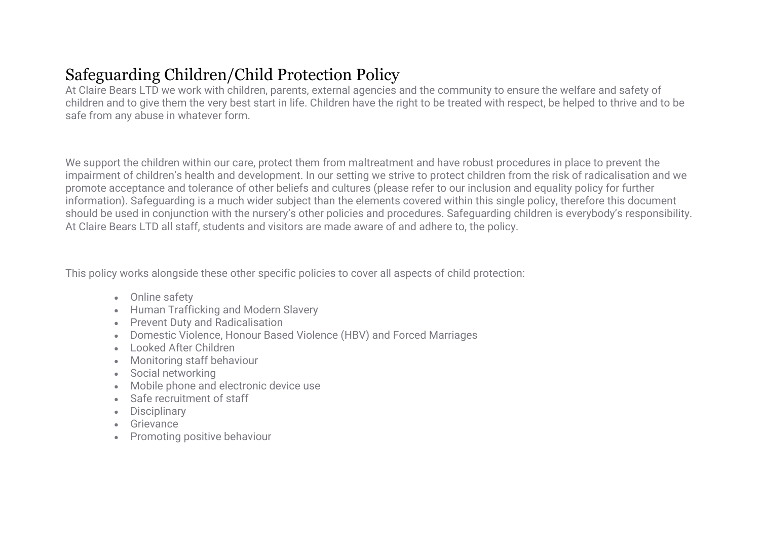# Safeguarding Children/Child Protection Policy

At Claire Bears LTD we work with children, parents, external agencies and the community to ensure the welfare and safety of children and to give them the very best start in life. Children have the right to be treated with respect, be helped to thrive and to be safe from any abuse in whatever form.

We support the children within our care, protect them from maltreatment and have robust procedures in place to prevent the impairment of children's health and development. In our setting we strive to protect children from the risk of radicalisation and we promote acceptance and tolerance of other beliefs and cultures (please refer to our inclusion and equality policy for further information). Safeguarding is a much wider subject than the elements covered within this single policy, therefore this document should be used in conjunction with the nursery's other policies and procedures. Safeguarding children is everybody's responsibility. At Claire Bears LTD all staff, students and visitors are made aware of and adhere to, the policy.

This policy works alongside these other specific policies to cover all aspects of child protection:

- Online safety
- Human Trafficking and Modern Slavery
- Prevent Duty and Radicalisation
- Domestic Violence, Honour Based Violence (HBV) and Forced Marriages
- Looked After Children
- Monitoring staff behaviour
- Social networking
- Mobile phone and electronic device use
- Safe recruitment of staff
- Disciplinary
- Grievance
- Promoting positive behaviour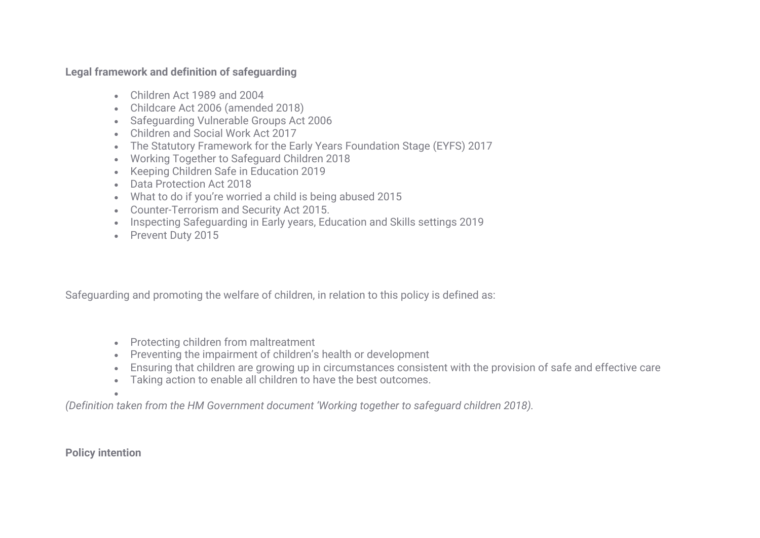# **Legal framework and definition of safeguarding**

- Children Act 1989 and 2004
- Childcare Act 2006 (amended 2018)
- Safeguarding Vulnerable Groups Act 2006
- Children and Social Work Act 2017
- The Statutory Framework for the Early Years Foundation Stage (EYFS) 2017
- Working Together to Safeguard Children 2018
- Keeping Children Safe in Education 2019
- Data Protection Act 2018
- What to do if you're worried a child is being abused 2015
- Counter-Terrorism and Security Act 2015.
- Inspecting Safeguarding in Early years, Education and Skills settings 2019
- Prevent Duty 2015

Safeguarding and promoting the welfare of children, in relation to this policy is defined as:

- Protecting children from maltreatment
- Preventing the impairment of children's health or development
- Ensuring that children are growing up in circumstances consistent with the provision of safe and effective care
- Taking action to enable all children to have the best outcomes.

• *(Definition taken from the HM Government document 'Working together to safeguard children 2018).*

**Policy intention**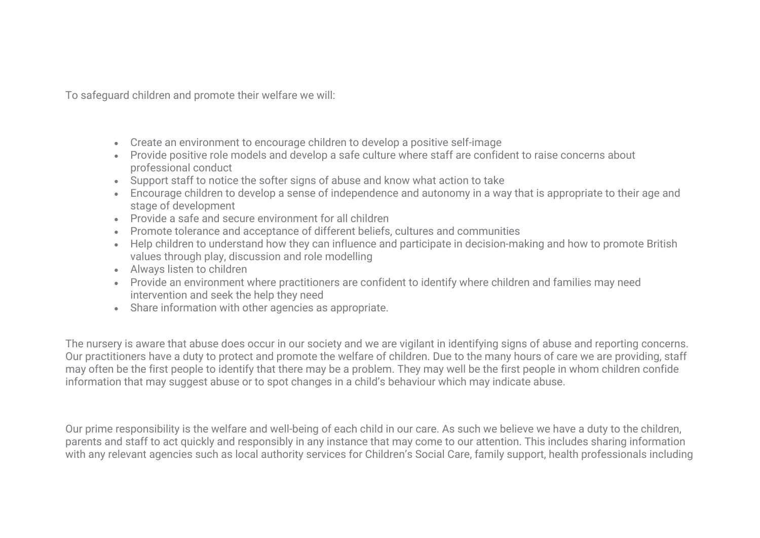To safeguard children and promote their welfare we will:

- Create an environment to encourage children to develop a positive self-image
- Provide positive role models and develop a safe culture where staff are confident to raise concerns about professional conduct
- Support staff to notice the softer signs of abuse and know what action to take
- Encourage children to develop a sense of independence and autonomy in a way that is appropriate to their age and stage of development
- Provide a safe and secure environment for all children
- Promote tolerance and acceptance of different beliefs, cultures and communities
- Help children to understand how they can influence and participate in decision-making and how to promote British values through play, discussion and role modelling
- Always listen to children
- Provide an environment where practitioners are confident to identify where children and families may need intervention and seek the help they need
- Share information with other agencies as appropriate.

The nursery is aware that abuse does occur in our society and we are vigilant in identifying signs of abuse and reporting concerns. Our practitioners have a duty to protect and promote the welfare of children. Due to the many hours of care we are providing, staff may often be the first people to identify that there may be a problem. They may well be the first people in whom children confide information that may suggest abuse or to spot changes in a child's behaviour which may indicate abuse.

Our prime responsibility is the welfare and well-being of each child in our care. As such we believe we have a duty to the children, parents and staff to act quickly and responsibly in any instance that may come to our attention. This includes sharing information with any relevant agencies such as local authority services for Children's Social Care, family support, health professionals including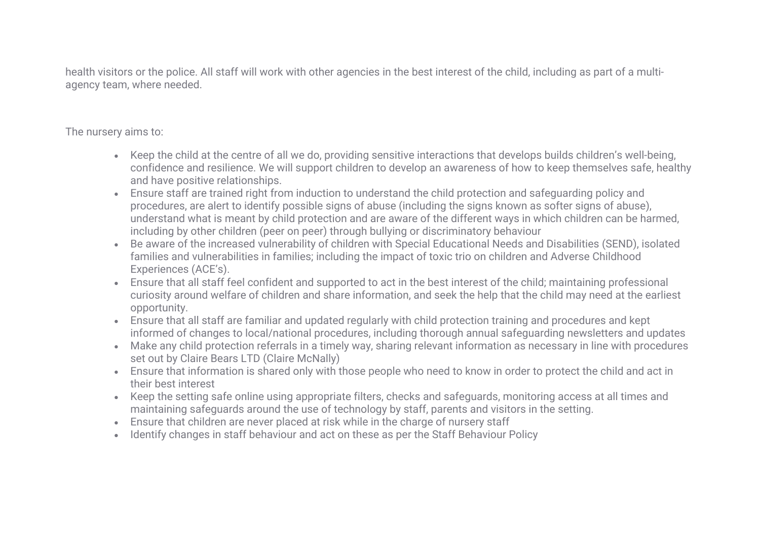health visitors or the police. All staff will work with other agencies in the best interest of the child, including as part of a multiagency team, where needed.

The nursery aims to:

- Keep the child at the centre of all we do, providing sensitive interactions that develops builds children's well-being, confidence and resilience. We will support children to develop an awareness of how to keep themselves safe, healthy and have positive relationships.
- Ensure staff are trained right from induction to understand the child protection and safeguarding policy and procedures, are alert to identify possible signs of abuse (including the signs known as softer signs of abuse), understand what is meant by child protection and are aware of the different ways in which children can be harmed, including by other children (peer on peer) through bullying or discriminatory behaviour
- Be aware of the increased vulnerability of children with Special Educational Needs and Disabilities (SEND), isolated families and vulnerabilities in families; including the impact of toxic trio on children and Adverse Childhood Experiences (ACE's).
- Ensure that all staff feel confident and supported to act in the best interest of the child; maintaining professional curiosity around welfare of children and share information, and seek the help that the child may need at the earliest opportunity.
- Ensure that all staff are familiar and updated regularly with child protection training and procedures and kept informed of changes to local/national procedures, including thorough annual safeguarding newsletters and updates
- Make any child protection referrals in a timely way, sharing relevant information as necessary in line with procedures set out by Claire Bears LTD (Claire McNally)
- Ensure that information is shared only with those people who need to know in order to protect the child and act in their best interest
- Keep the setting safe online using appropriate filters, checks and safeguards, monitoring access at all times and maintaining safeguards around the use of technology by staff, parents and visitors in the setting.
- Ensure that children are never placed at risk while in the charge of nursery staff
- Identify changes in staff behaviour and act on these as per the Staff Behaviour Policy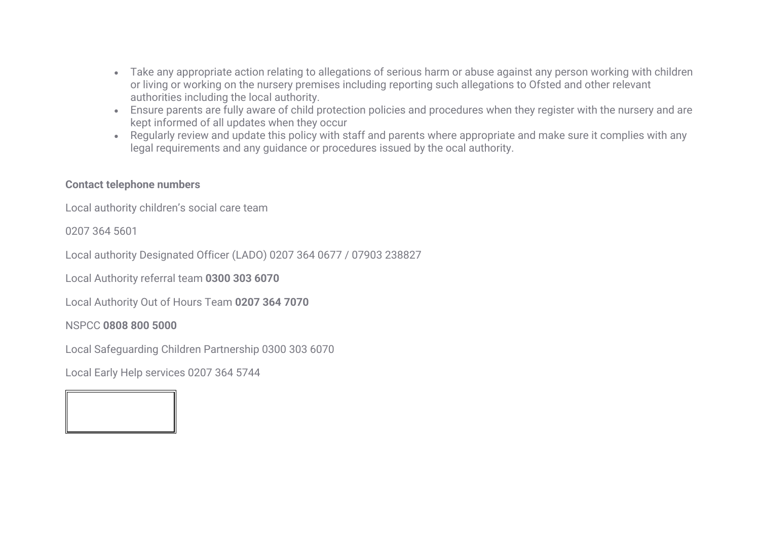- Take any appropriate action relating to allegations of serious harm or abuse against any person working with children or living or working on the nursery premises including reporting such allegations to Ofsted and other relevant authorities including the local authority.
- Ensure parents are fully aware of child protection policies and procedures when they register with the nursery and are kept informed of all updates when they occur
- Regularly review and update this policy with staff and parents where appropriate and make sure it complies with any legal requirements and any guidance or procedures issued by the ocal authority.

# **Contact telephone numbers**

Local authority children's social care team

0207 364 5601

Local authority Designated Officer (LADO) 0207 364 0677 / 07903 238827

Local Authority referral team **0300 303 6070**

Local Authority Out of Hours Team **0207 364 7070**

NSPCC **0808 800 5000**

Local Safeguarding Children Partnership 0300 303 6070

Local Early Help services 0207 364 5744

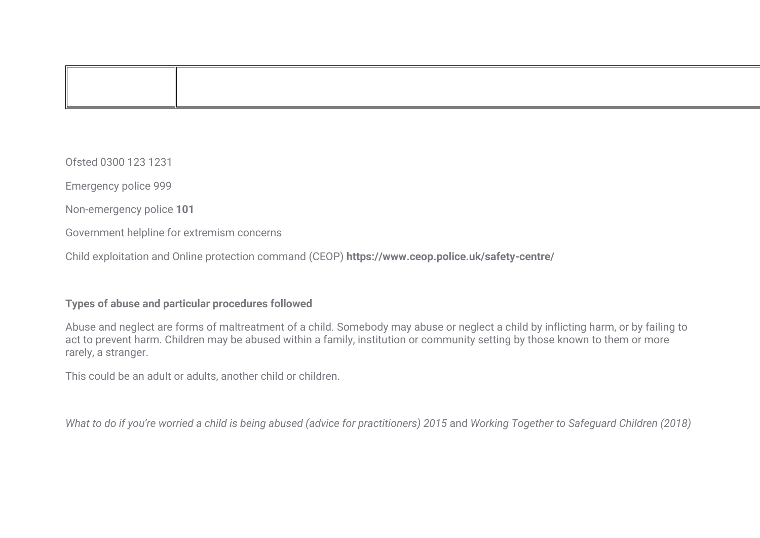Ofsted 0300 123 1231

Emergency police 999

Non-emergency police **101**

Government helpline for extremism concerns

Child exploitation and Online protection command (CEOP) **https://www.ceop.police.uk/safety-centre/**

#### **Types of abuse and particular procedures followed**

Abuse and neglect are forms of maltreatment of a child. Somebody may abuse or neglect a child by inflicting harm, or by failing to act to prevent harm. Children may be abused within a family, institution or community setting by those known to them or more rarely, a stranger.

This could be an adult or adults, another child or children.

*What to do if you're worried a child is being abused (advice for practitioners) 2015* and *Working Together to Safeguard Children (2018)*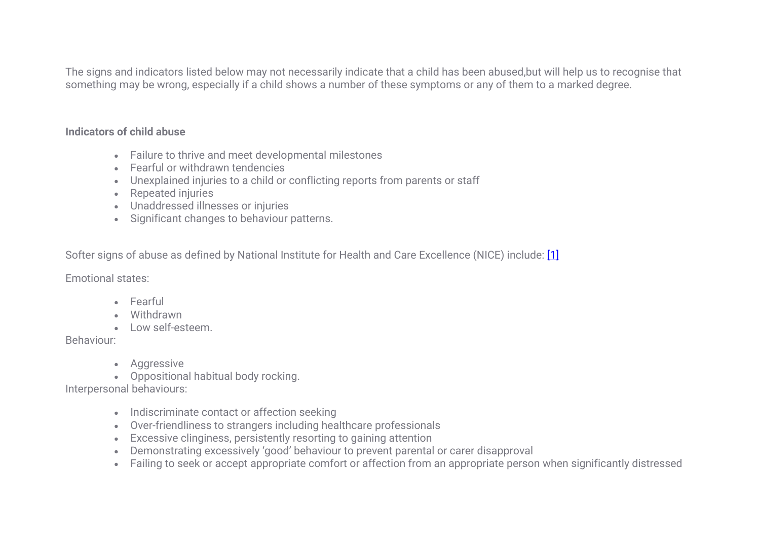The signs and indicators listed below may not necessarily indicate that a child has been abused,but will help us to recognise that something may be wrong, especially if a child shows a number of these symptoms or any of them to a marked degree.

# **Indicators of child abuse**

- Failure to thrive and meet developmental milestones
- Fearful or withdrawn tendencies
- Unexplained injuries to a child or conflicting reports from parents or staff
- Repeated injuries
- Unaddressed illnesses or injuries
- Significant changes to behaviour patterns.

Softer signs of abuse as defined by National Institute for Health and Care Excellence (NICE) include: [1]

Emotional states:

- Fearful
- Withdrawn
- Low self-esteem.

Behaviour:

- Aggressive
- Oppositional habitual body rocking.

Interpersonal behaviours:

- Indiscriminate contact or affection seeking
- Over-friendliness to strangers including healthcare professionals
- Excessive clinginess, persistently resorting to gaining attention
- Demonstrating excessively 'good' behaviour to prevent parental or carer disapproval
- Failing to seek or accept appropriate comfort or affection from an appropriate person when significantly distressed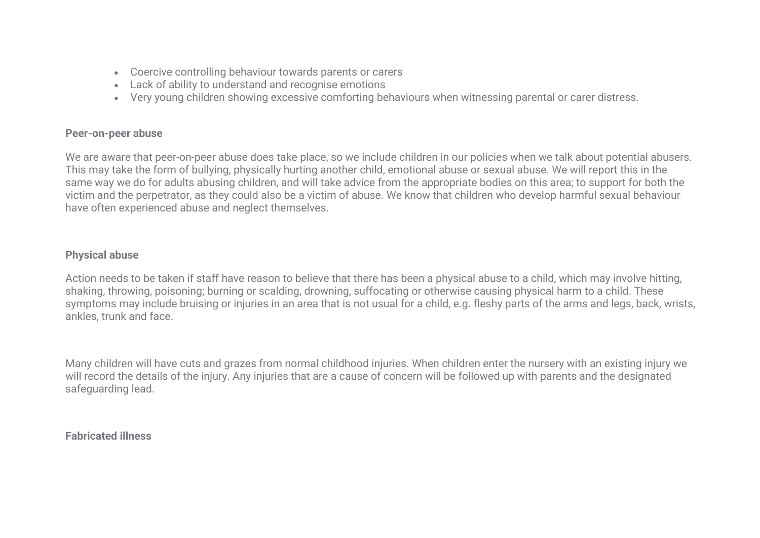- Coercive controlling behaviour towards parents or carers
- Lack of ability to understand and recognise emotions
- Very young children showing excessive comforting behaviours when witnessing parental or carer distress.

### **Peer-on-peer abuse**

We are aware that peer-on-peer abuse does take place, so we include children in our policies when we talk about potential abusers. This may take the form of bullying, physically hurting another child, emotional abuse or sexual abuse. We will report this in the same way we do for adults abusing children, and will take advice from the appropriate bodies on this area; to support for both the victim and the perpetrator, as they could also be a victim of abuse. We know that children who develop harmful sexual behaviour have often experienced abuse and neglect themselves.

# **Physical abuse**

Action needs to be taken if staff have reason to believe that there has been a physical abuse to a child, which may involve hitting, shaking, throwing, poisoning; burning or scalding, drowning, suffocating or otherwise causing physical harm to a child. These symptoms may include bruising or injuries in an area that is not usual for a child, e.g. fleshy parts of the arms and legs, back, wrists, ankles, trunk and face.

Many children will have cuts and grazes from normal childhood injuries. When children enter the nursery with an existing injury we will record the details of the injury. Any injuries that are a cause of concern will be followed up with parents and the designated safeguarding lead.

# **Fabricated illness**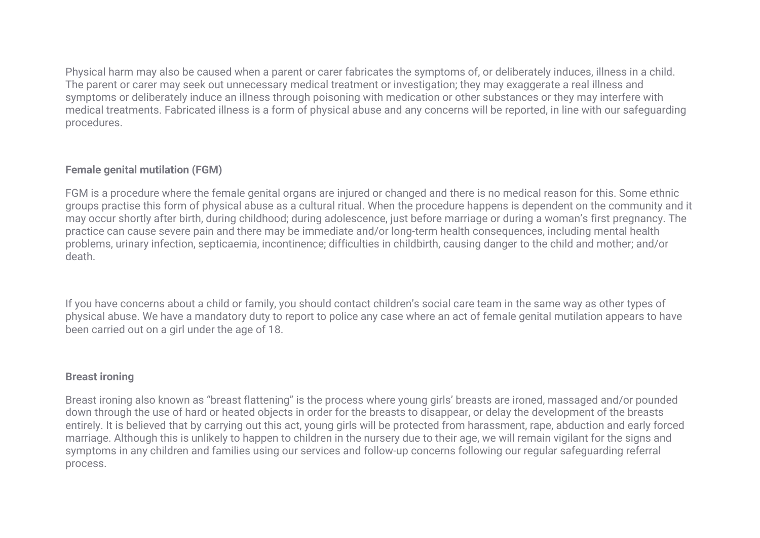Physical harm may also be caused when a parent or carer fabricates the symptoms of, or deliberately induces, illness in a child. The parent or carer may seek out unnecessary medical treatment or investigation; they may exaggerate a real illness and symptoms or deliberately induce an illness through poisoning with medication or other substances or they may interfere with medical treatments. Fabricated illness is a form of physical abuse and any concerns will be reported, in line with our safeguarding procedures.

# **Female genital mutilation (FGM)**

FGM is a procedure where the female genital organs are injured or changed and there is no medical reason for this. Some ethnic groups practise this form of physical abuse as a cultural ritual. When the procedure happens is dependent on the community and it may occur shortly after birth, during childhood; during adolescence, just before marriage or during a woman's first pregnancy. The practice can cause severe pain and there may be immediate and/or long-term health consequences, including mental health problems, urinary infection, septicaemia, incontinence; difficulties in childbirth, causing danger to the child and mother; and/or death.

If you have concerns about a child or family, you should contact children's social care team in the same way as other types of physical abuse. We have a mandatory duty to report to police any case where an act of female genital mutilation appears to have been carried out on a girl under the age of 18.

# **Breast ironing**

Breast ironing also known as "breast flattening" is the process where young girls' breasts are ironed, massaged and/or pounded down through the use of hard or heated objects in order for the breasts to disappear, or delay the development of the breasts entirely. It is believed that by carrying out this act, young girls will be protected from harassment, rape, abduction and early forced marriage. Although this is unlikely to happen to children in the nursery due to their age, we will remain vigilant for the signs and symptoms in any children and families using our services and follow-up concerns following our regular safeguarding referral process.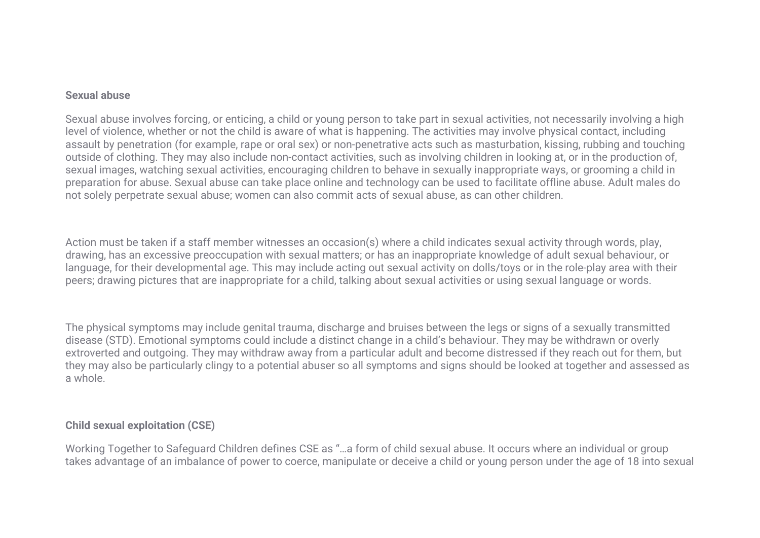#### **Sexual abuse**

Sexual abuse involves forcing, or enticing, a child or young person to take part in sexual activities, not necessarily involving a high level of violence, whether or not the child is aware of what is happening. The activities may involve physical contact, including assault by penetration (for example, rape or oral sex) or non-penetrative acts such as masturbation, kissing, rubbing and touching outside of clothing. They may also include non-contact activities, such as involving children in looking at, or in the production of, sexual images, watching sexual activities, encouraging children to behave in sexually inappropriate ways, or grooming a child in preparation for abuse. Sexual abuse can take place online and technology can be used to facilitate offline abuse. Adult males do not solely perpetrate sexual abuse; women can also commit acts of sexual abuse, as can other children.

Action must be taken if a staff member witnesses an occasion(s) where a child indicates sexual activity through words, play, drawing, has an excessive preoccupation with sexual matters; or has an inappropriate knowledge of adult sexual behaviour, or language, for their developmental age. This may include acting out sexual activity on dolls/toys or in the role-play area with their peers; drawing pictures that are inappropriate for a child, talking about sexual activities or using sexual language or words.

The physical symptoms may include genital trauma, discharge and bruises between the legs or signs of a sexually transmitted disease (STD). Emotional symptoms could include a distinct change in a child's behaviour. They may be withdrawn or overly extroverted and outgoing. They may withdraw away from a particular adult and become distressed if they reach out for them, but they may also be particularly clingy to a potential abuser so all symptoms and signs should be looked at together and assessed as a whole.

# **Child sexual exploitation (CSE)**

Working Together to Safeguard Children defines CSE as "…a form of child sexual abuse. It occurs where an individual or group takes advantage of an imbalance of power to coerce, manipulate or deceive a child or young person under the age of 18 into sexual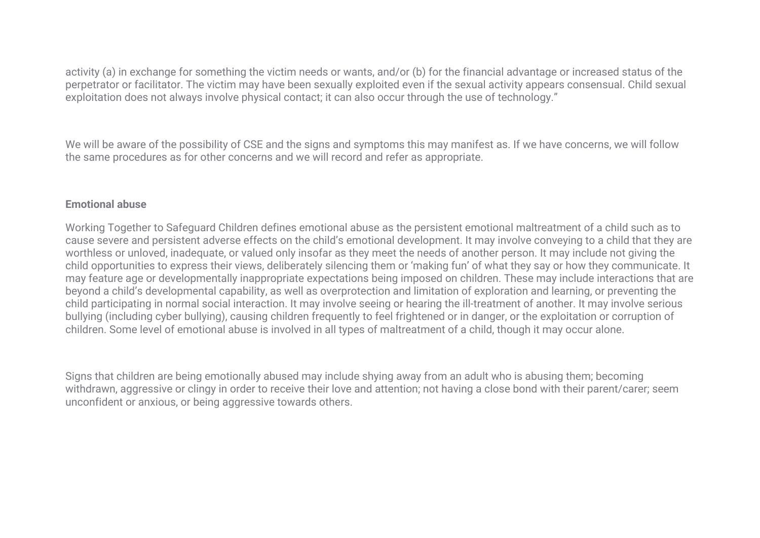activity (a) in exchange for something the victim needs or wants, and/or (b) for the financial advantage or increased status of the perpetrator or facilitator. The victim may have been sexually exploited even if the sexual activity appears consensual. Child sexual exploitation does not always involve physical contact; it can also occur through the use of technology."

We will be aware of the possibility of CSE and the signs and symptoms this may manifest as. If we have concerns, we will follow the same procedures as for other concerns and we will record and refer as appropriate.

### **Emotional abuse**

Working Together to Safeguard Children defines emotional abuse as the persistent emotional maltreatment of a child such as to cause severe and persistent adverse effects on the child's emotional development. It may involve conveying to a child that they are worthless or unloved, inadequate, or valued only insofar as they meet the needs of another person. It may include not giving the child opportunities to express their views, deliberately silencing them or 'making fun' of what they say or how they communicate. It may feature age or developmentally inappropriate expectations being imposed on children. These may include interactions that are beyond a child's developmental capability, as well as overprotection and limitation of exploration and learning, or preventing the child participating in normal social interaction. It may involve seeing or hearing the ill-treatment of another. It may involve serious bullying (including cyber bullying), causing children frequently to feel frightened or in danger, or the exploitation or corruption of children. Some level of emotional abuse is involved in all types of maltreatment of a child, though it may occur alone.

Signs that children are being emotionally abused may include shying away from an adult who is abusing them; becoming withdrawn, aggressive or clingy in order to receive their love and attention; not having a close bond with their parent/carer; seem unconfident or anxious, or being aggressive towards others.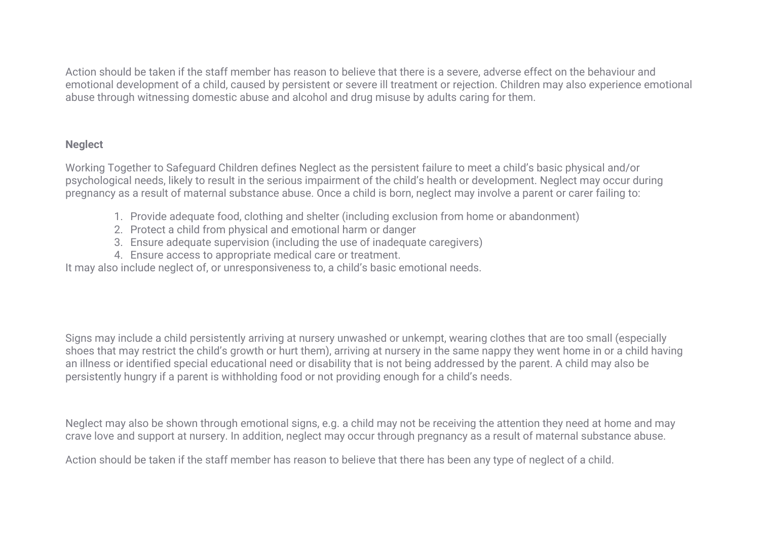Action should be taken if the staff member has reason to believe that there is a severe, adverse effect on the behaviour and emotional development of a child, caused by persistent or severe ill treatment or rejection. Children may also experience emotional abuse through witnessing domestic abuse and alcohol and drug misuse by adults caring for them.

# **Neglect**

Working Together to Safeguard Children defines Neglect as the persistent failure to meet a child's basic physical and/or psychological needs, likely to result in the serious impairment of the child's health or development. Neglect may occur during pregnancy as a result of maternal substance abuse. Once a child is born, neglect may involve a parent or carer failing to:

- 1. Provide adequate food, clothing and shelter (including exclusion from home or abandonment)
- 2. Protect a child from physical and emotional harm or danger
- 3. Ensure adequate supervision (including the use of inadequate caregivers)
- 4. Ensure access to appropriate medical care or treatment.

It may also include neglect of, or unresponsiveness to, a child's basic emotional needs.

Signs may include a child persistently arriving at nursery unwashed or unkempt, wearing clothes that are too small (especially shoes that may restrict the child's growth or hurt them), arriving at nursery in the same nappy they went home in or a child having an illness or identified special educational need or disability that is not being addressed by the parent. A child may also be persistently hungry if a parent is withholding food or not providing enough for a child's needs.

Neglect may also be shown through emotional signs, e.g. a child may not be receiving the attention they need at home and may crave love and support at nursery. In addition, neglect may occur through pregnancy as a result of maternal substance abuse.

Action should be taken if the staff member has reason to believe that there has been any type of neglect of a child.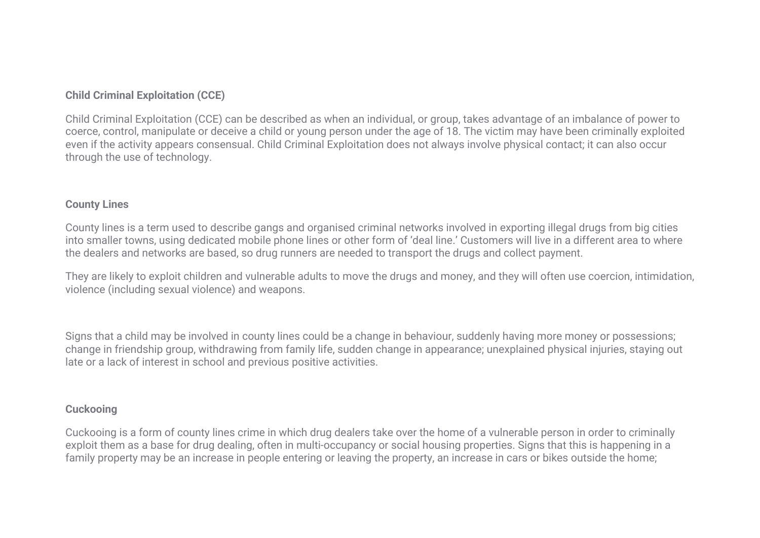# **Child Criminal Exploitation (CCE)**

Child Criminal Exploitation (CCE) can be described as when an individual, or group, takes advantage of an imbalance of power to coerce, control, manipulate or deceive a child or young person under the age of 18. The victim may have been criminally exploited even if the activity appears consensual. Child Criminal Exploitation does not always involve physical contact; it can also occur through the use of technology.

# **County Lines**

County lines is a term used to describe gangs and organised criminal networks involved in exporting illegal drugs from big cities into smaller towns, using dedicated mobile phone lines or other form of 'deal line.' Customers will live in a different area to where the dealers and networks are based, so drug runners are needed to transport the drugs and collect payment.

They are likely to exploit children and vulnerable adults to move the drugs and money, and they will often use coercion, intimidation, violence (including sexual violence) and weapons.

Signs that a child may be involved in county lines could be a change in behaviour, suddenly having more money or possessions; change in friendship group, withdrawing from family life, sudden change in appearance; unexplained physical injuries, staying out late or a lack of interest in school and previous positive activities.

# **Cuckooing**

Cuckooing is a form of county lines crime in which drug dealers take over the home of a vulnerable person in order to criminally exploit them as a base for drug dealing, often in multi-occupancy or social housing properties. Signs that this is happening in a family property may be an increase in people entering or leaving the property, an increase in cars or bikes outside the home;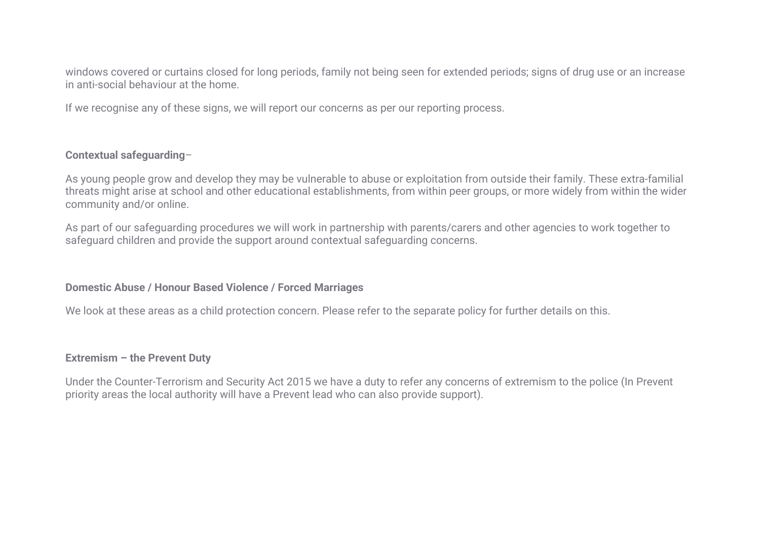windows covered or curtains closed for long periods, family not being seen for extended periods; signs of drug use or an increase in anti-social behaviour at the home.

If we recognise any of these signs, we will report our concerns as per our reporting process.

# **Contextual safeguarding**–

As young people grow and develop they may be vulnerable to abuse or exploitation from outside their family. These extra-familial threats might arise at school and other educational establishments, from within peer groups, or more widely from within the wider community and/or online.

As part of our safeguarding procedures we will work in partnership with parents/carers and other agencies to work together to safeguard children and provide the support around contextual safeguarding concerns.

# **Domestic Abuse / Honour Based Violence / Forced Marriages**

We look at these areas as a child protection concern. Please refer to the separate policy for further details on this.

#### **Extremism – the Prevent Duty**

Under the Counter-Terrorism and Security Act 2015 we have a duty to refer any concerns of extremism to the police (In Prevent priority areas the local authority will have a Prevent lead who can also provide support).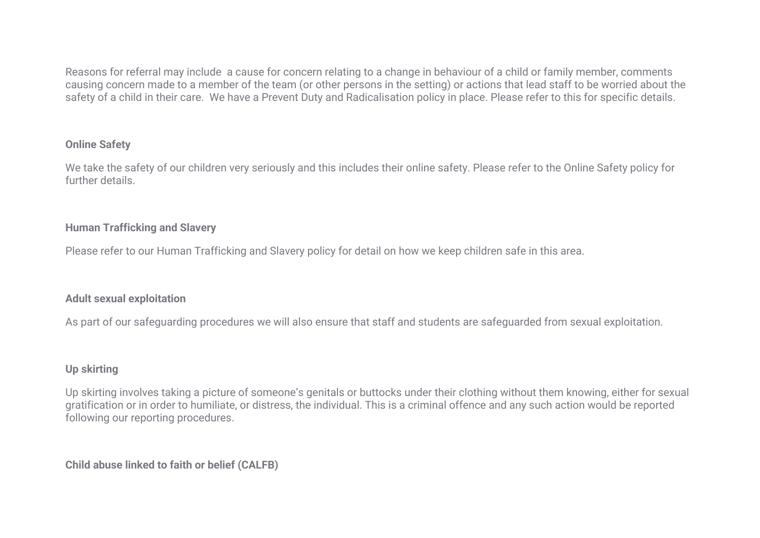Reasons for referral may include a cause for concern relating to a change in behaviour of a child or family member, comments causing concern made to a member of the team (or other persons in the setting) or actions that lead staff to be worried about the safety of a child in their care. We have a Prevent Duty and Radicalisation policy in place. Please refer to this for specific details.

# **Online Safety**

We take the safety of our children very seriously and this includes their online safety. Please refer to the Online Safety policy for further details.

# **Human Trafficking and Slavery**

Please refer to our Human Trafficking and Slavery policy for detail on how we keep children safe in this area.

# **Adult sexual exploitation**

As part of our safeguarding procedures we will also ensure that staff and students are safeguarded from sexual exploitation.

# **Up skirting**

Up skirting involves taking a picture of someone's genitals or buttocks under their clothing without them knowing, either for sexual gratification or in order to humiliate, or distress, the individual. This is a criminal offence and any such action would be reported following our reporting procedures.

**Child abuse linked to faith or belief (CALFB)**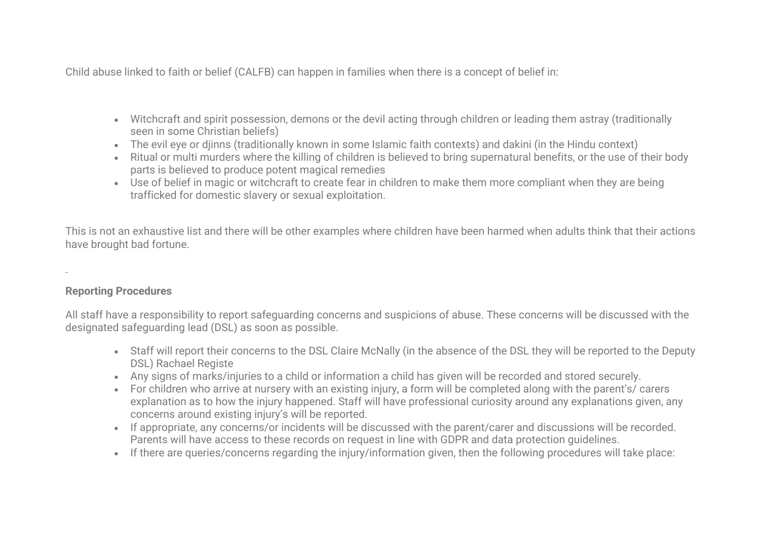Child abuse linked to faith or belief (CALFB) can happen in families when there is a concept of belief in:

- Witchcraft and spirit possession, demons or the devil acting through children or leading them astray (traditionally seen in some Christian beliefs)
- The evil eye or djinns (traditionally known in some Islamic faith contexts) and dakini (in the Hindu context)
- Ritual or multi murders where the killing of children is believed to bring supernatural benefits, or the use of their body parts is believed to produce potent magical remedies
- Use of belief in magic or witchcraft to create fear in children to make them more compliant when they are being trafficked for domestic slavery or sexual exploitation.

This is not an exhaustive list and there will be other examples where children have been harmed when adults think that their actions have brought bad fortune.

# **Reporting Procedures**

All staff have a responsibility to report safeguarding concerns and suspicions of abuse. These concerns will be discussed with the designated safeguarding lead (DSL) as soon as possible.

- Staff will report their concerns to the DSL Claire McNally (in the absence of the DSL they will be reported to the Deputy DSL) Rachael Registe
- Any signs of marks/injuries to a child or information a child has given will be recorded and stored securely.
- For children who arrive at nursery with an existing injury, a form will be completed along with the parent's/ carers explanation as to how the injury happened. Staff will have professional curiosity around any explanations given, any concerns around existing injury's will be reported.
- If appropriate, any concerns/or incidents will be discussed with the parent/carer and discussions will be recorded. Parents will have access to these records on request in line with GDPR and data protection guidelines.
- If there are queries/concerns regarding the injury/information given, then the following procedures will take place: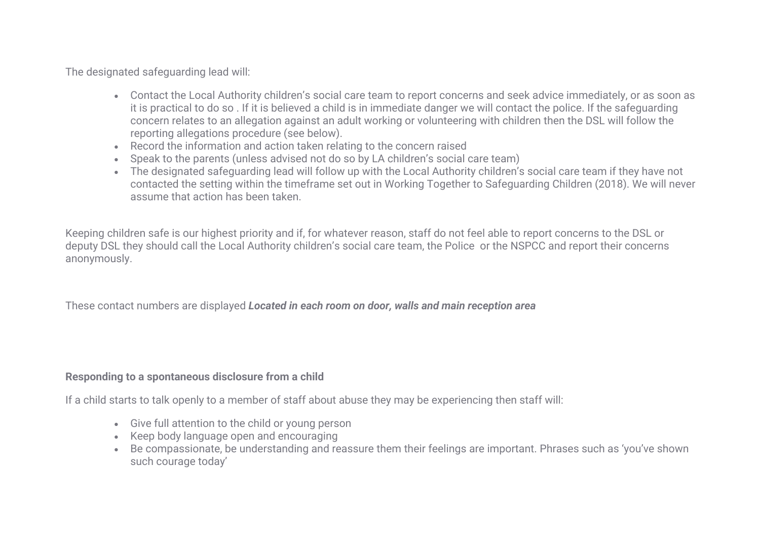The designated safeguarding lead will:

- Contact the Local Authority children's social care team to report concerns and seek advice immediately, or as soon as it is practical to do so . If it is believed a child is in immediate danger we will contact the police. If the safeguarding concern relates to an allegation against an adult working or volunteering with children then the DSL will follow the reporting allegations procedure (see below).
- Record the information and action taken relating to the concern raised
- Speak to the parents (unless advised not do so by LA children's social care team)
- The designated safeguarding lead will follow up with the Local Authority children's social care team if they have not contacted the setting within the timeframe set out in Working Together to Safeguarding Children (2018). We will never assume that action has been taken.

Keeping children safe is our highest priority and if, for whatever reason, staff do not feel able to report concerns to the DSL or deputy DSL they should call the Local Authority children's social care team, the Police or the NSPCC and report their concerns anonymously.

These contact numbers are displayed *Located in each room on door, walls and main reception area*

# **Responding to a spontaneous disclosure from a child**

If a child starts to talk openly to a member of staff about abuse they may be experiencing then staff will:

- Give full attention to the child or young person
- Keep body language open and encouraging
- Be compassionate, be understanding and reassure them their feelings are important. Phrases such as 'you've shown such courage today'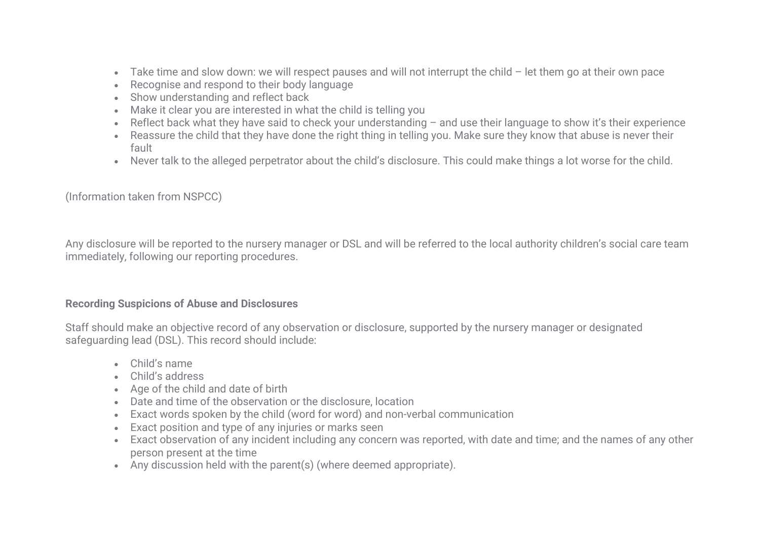- Take time and slow down: we will respect pauses and will not interrupt the child let them go at their own pace
- Recognise and respond to their body language
- Show understanding and reflect back
- Make it clear you are interested in what the child is telling you
- Reflect back what they have said to check your understanding and use their language to show it's their experience
- Reassure the child that they have done the right thing in telling you. Make sure they know that abuse is never their fault
- Never talk to the alleged perpetrator about the child's disclosure. This could make things a lot worse for the child.

(Information taken from NSPCC)

Any disclosure will be reported to the nursery manager or DSL and will be referred to the local authority children's social care team immediately, following our reporting procedures.

#### **Recording Suspicions of Abuse and Disclosures**

Staff should make an objective record of any observation or disclosure, supported by the nursery manager or designated safeguarding lead (DSL). This record should include:

- Child's name
- Child's address
- Age of the child and date of birth
- Date and time of the observation or the disclosure, location
- Exact words spoken by the child (word for word) and non-verbal communication
- Exact position and type of any injuries or marks seen
- Exact observation of any incident including any concern was reported, with date and time; and the names of any other person present at the time
- Any discussion held with the parent(s) (where deemed appropriate).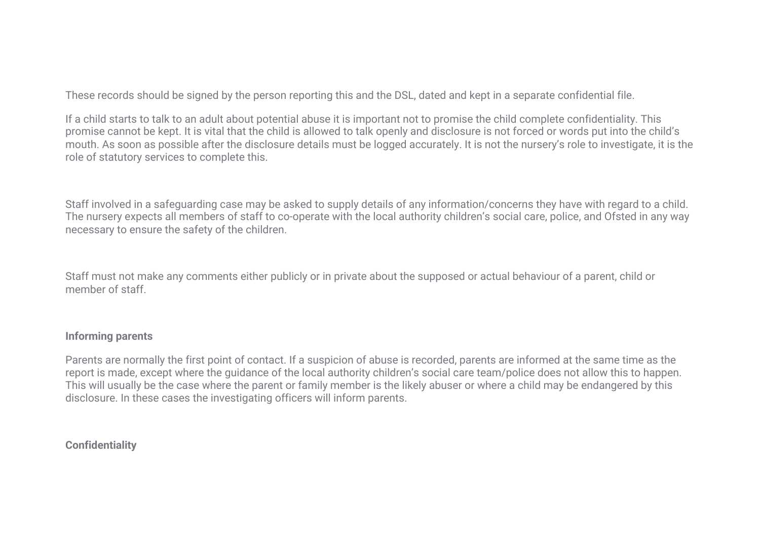These records should be signed by the person reporting this and the DSL, dated and kept in a separate confidential file.

If a child starts to talk to an adult about potential abuse it is important not to promise the child complete confidentiality. This promise cannot be kept. It is vital that the child is allowed to talk openly and disclosure is not forced or words put into the child's mouth. As soon as possible after the disclosure details must be logged accurately. It is not the nursery's role to investigate, it is the role of statutory services to complete this.

Staff involved in a safeguarding case may be asked to supply details of any information/concerns they have with regard to a child. The nursery expects all members of staff to co-operate with the local authority children's social care, police, and Ofsted in any way necessary to ensure the safety of the children.

Staff must not make any comments either publicly or in private about the supposed or actual behaviour of a parent, child or member of staff.

# **Informing parents**

Parents are normally the first point of contact. If a suspicion of abuse is recorded, parents are informed at the same time as the report is made, except where the guidance of the local authority children's social care team/police does not allow this to happen. This will usually be the case where the parent or family member is the likely abuser or where a child may be endangered by this disclosure. In these cases the investigating officers will inform parents.

**Confidentiality**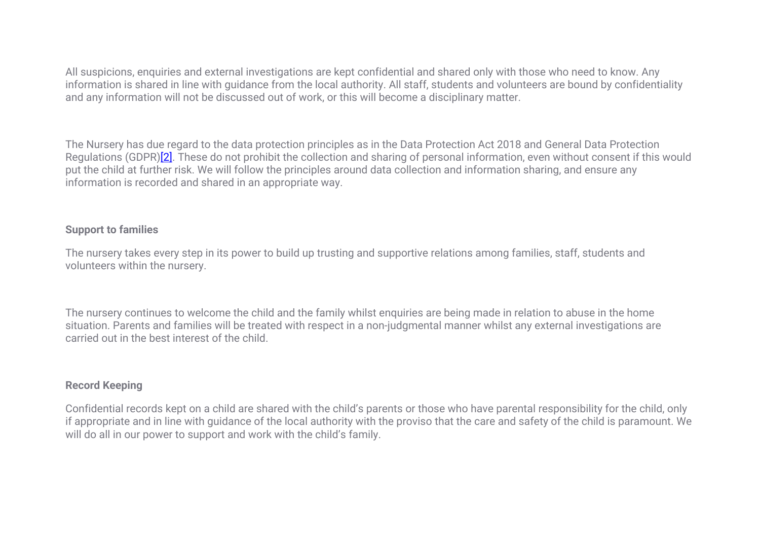All suspicions, enquiries and external investigations are kept confidential and shared only with those who need to know. Any information is shared in line with guidance from the local authority. All staff, students and volunteers are bound by confidentiality and any information will not be discussed out of work, or this will become a disciplinary matter.

The Nursery has due regard to the data protection principles as in the Data Protection Act 2018 and General Data Protection Regulations (GDPR)<sup>[2]</sup>. These do not prohibit the collection and sharing of personal information, even without consent if this would put the child at further risk. We will follow the principles around data collection and information sharing, and ensure any information is recorded and shared in an appropriate way.

# **Support to families**

The nursery takes every step in its power to build up trusting and supportive relations among families, staff, students and volunteers within the nursery.

The nursery continues to welcome the child and the family whilst enquiries are being made in relation to abuse in the home situation. Parents and families will be treated with respect in a non-judgmental manner whilst any external investigations are carried out in the best interest of the child.

# **Record Keeping**

Confidential records kept on a child are shared with the child's parents or those who have parental responsibility for the child, only if appropriate and in line with guidance of the local authority with the proviso that the care and safety of the child is paramount. We will do all in our power to support and work with the child's family.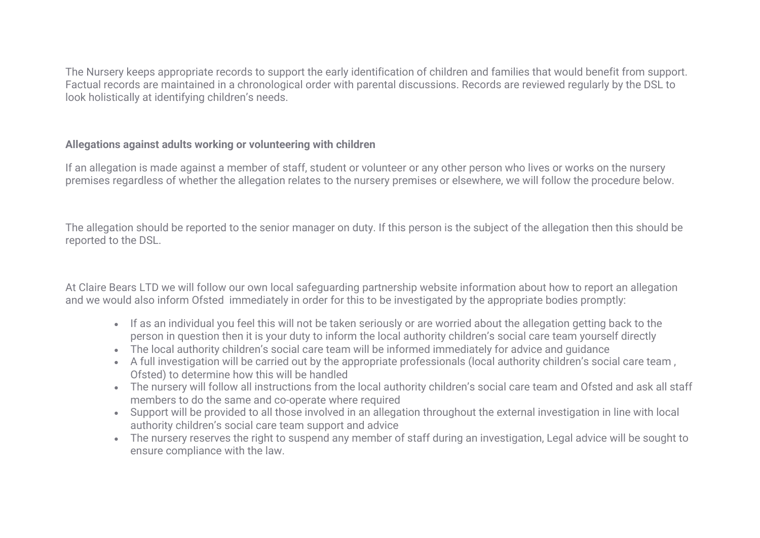The Nursery keeps appropriate records to support the early identification of children and families that would benefit from support. Factual records are maintained in a chronological order with parental discussions. Records are reviewed regularly by the DSL to look holistically at identifying children's needs.

# **Allegations against adults working or volunteering with children**

If an allegation is made against a member of staff, student or volunteer or any other person who lives or works on the nursery premises regardless of whether the allegation relates to the nursery premises or elsewhere, we will follow the procedure below.

The allegation should be reported to the senior manager on duty. If this person is the subject of the allegation then this should be reported to the DSL.

At Claire Bears LTD we will follow our own local safeguarding partnership website information about how to report an allegation and we would also inform Ofsted immediately in order for this to be investigated by the appropriate bodies promptly:

- If as an individual you feel this will not be taken seriously or are worried about the allegation getting back to the person in question then it is your duty to inform the local authority children's social care team yourself directly
- The local authority children's social care team will be informed immediately for advice and guidance
- A full investigation will be carried out by the appropriate professionals (local authority children's social care team , Ofsted) to determine how this will be handled
- The nursery will follow all instructions from the local authority children's social care team and Ofsted and ask all staff members to do the same and co-operate where required
- Support will be provided to all those involved in an allegation throughout the external investigation in line with local authority children's social care team support and advice
- The nursery reserves the right to suspend any member of staff during an investigation, Legal advice will be sought to ensure compliance with the law.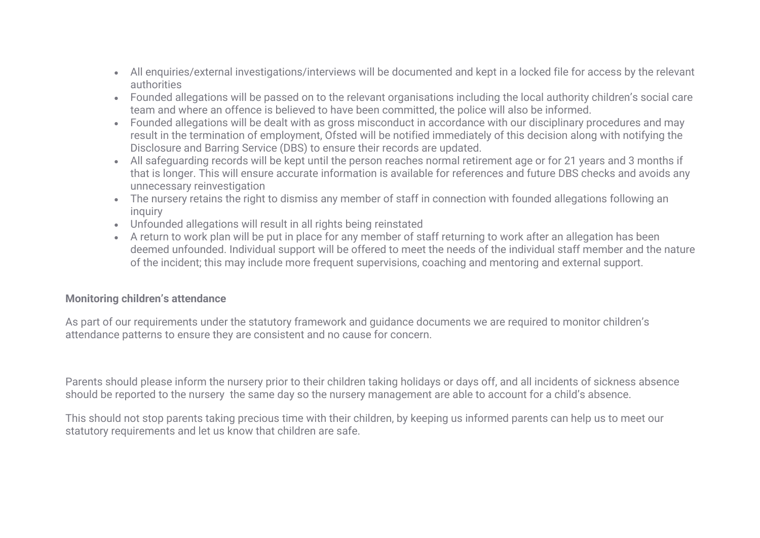- All enquiries/external investigations/interviews will be documented and kept in a locked file for access by the relevant authorities
- Founded allegations will be passed on to the relevant organisations including the local authority children's social care team and where an offence is believed to have been committed, the police will also be informed.
- Founded allegations will be dealt with as gross misconduct in accordance with our disciplinary procedures and may result in the termination of employment, Ofsted will be notified immediately of this decision along with notifying the Disclosure and Barring Service (DBS) to ensure their records are updated.
- All safeguarding records will be kept until the person reaches normal retirement age or for 21 years and 3 months if that is longer. This will ensure accurate information is available for references and future DBS checks and avoids any unnecessary reinvestigation
- The nursery retains the right to dismiss any member of staff in connection with founded allegations following an inquiry
- Unfounded allegations will result in all rights being reinstated
- A return to work plan will be put in place for any member of staff returning to work after an allegation has been deemed unfounded. Individual support will be offered to meet the needs of the individual staff member and the nature of the incident; this may include more frequent supervisions, coaching and mentoring and external support.

# **Monitoring children's attendance**

As part of our requirements under the statutory framework and guidance documents we are required to monitor children's attendance patterns to ensure they are consistent and no cause for concern.

Parents should please inform the nursery prior to their children taking holidays or days off, and all incidents of sickness absence should be reported to the nursery the same day so the nursery management are able to account for a child's absence.

This should not stop parents taking precious time with their children, by keeping us informed parents can help us to meet our statutory requirements and let us know that children are safe.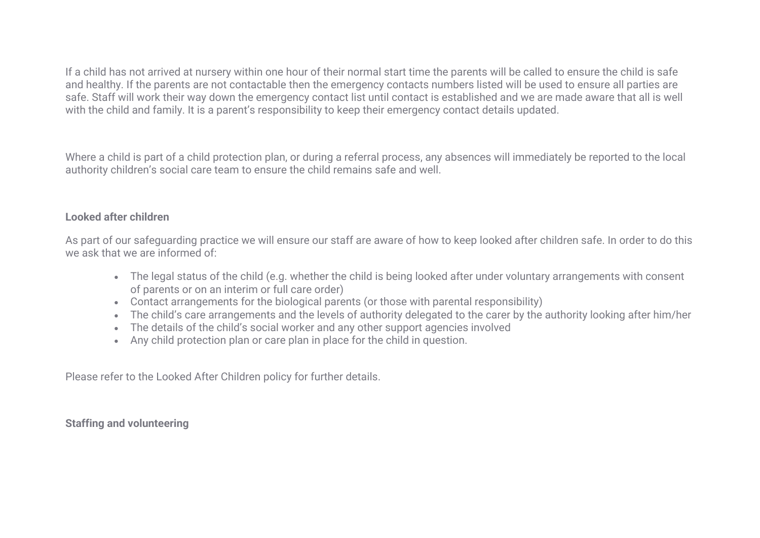If a child has not arrived at nursery within one hour of their normal start time the parents will be called to ensure the child is safe and healthy. If the parents are not contactable then the emergency contacts numbers listed will be used to ensure all parties are safe. Staff will work their way down the emergency contact list until contact is established and we are made aware that all is well with the child and family. It is a parent's responsibility to keep their emergency contact details updated.

Where a child is part of a child protection plan, or during a referral process, any absences will immediately be reported to the local authority children's social care team to ensure the child remains safe and well.

# **Looked after children**

As part of our safeguarding practice we will ensure our staff are aware of how to keep looked after children safe. In order to do this we ask that we are informed of:

- The legal status of the child (e.g. whether the child is being looked after under voluntary arrangements with consent of parents or on an interim or full care order)
- Contact arrangements for the biological parents (or those with parental responsibility)
- The child's care arrangements and the levels of authority delegated to the carer by the authority looking after him/her
- The details of the child's social worker and any other support agencies involved
- Any child protection plan or care plan in place for the child in question.

Please refer to the Looked After Children policy for further details.

**Staffing and volunteering**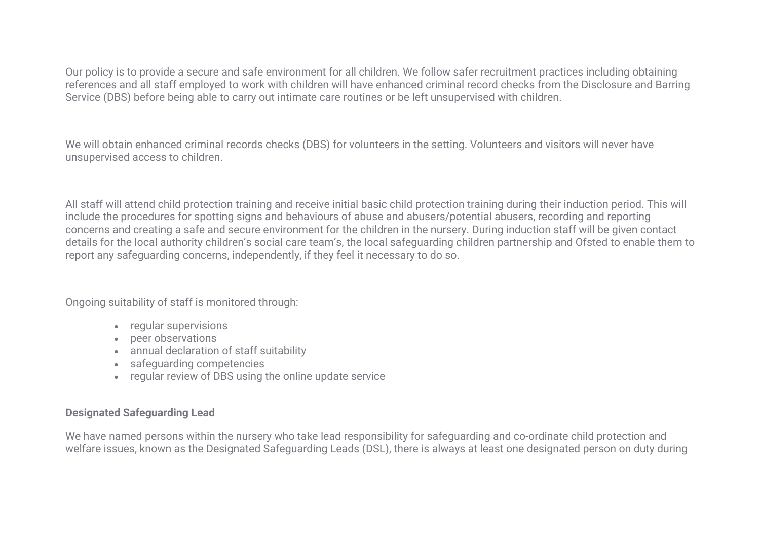Our policy is to provide a secure and safe environment for all children. We follow safer recruitment practices including obtaining references and all staff employed to work with children will have enhanced criminal record checks from the Disclosure and Barring Service (DBS) before being able to carry out intimate care routines or be left unsupervised with children.

We will obtain enhanced criminal records checks (DBS) for volunteers in the setting. Volunteers and visitors will never have unsupervised access to children.

All staff will attend child protection training and receive initial basic child protection training during their induction period. This will include the procedures for spotting signs and behaviours of abuse and abusers/potential abusers, recording and reporting concerns and creating a safe and secure environment for the children in the nursery. During induction staff will be given contact details for the local authority children's social care team's, the local safeguarding children partnership and Ofsted to enable them to report any safeguarding concerns, independently, if they feel it necessary to do so.

Ongoing suitability of staff is monitored through:

- regular supervisions
- peer observations
- annual declaration of staff suitability
- safeguarding competencies
- regular review of DBS using the online update service

# **Designated Safeguarding Lead**

We have named persons within the nursery who take lead responsibility for safeguarding and co-ordinate child protection and welfare issues, known as the Designated Safeguarding Leads (DSL), there is always at least one designated person on duty during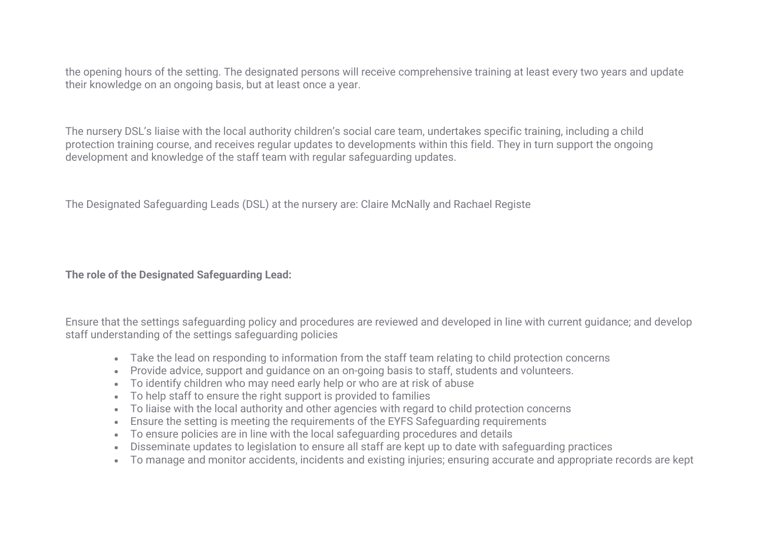the opening hours of the setting. The designated persons will receive comprehensive training at least every two years and update their knowledge on an ongoing basis, but at least once a year.

The nursery DSL's liaise with the local authority children's social care team, undertakes specific training, including a child protection training course, and receives regular updates to developments within this field. They in turn support the ongoing development and knowledge of the staff team with regular safeguarding updates.

The Designated Safeguarding Leads (DSL) at the nursery are: Claire McNally and Rachael Registe

**The role of the Designated Safeguarding Lead:**

Ensure that the settings safeguarding policy and procedures are reviewed and developed in line with current guidance; and develop staff understanding of the settings safeguarding policies

- Take the lead on responding to information from the staff team relating to child protection concerns
- Provide advice, support and guidance on an on-going basis to staff, students and volunteers.
- To identify children who may need early help or who are at risk of abuse
- To help staff to ensure the right support is provided to families
- To liaise with the local authority and other agencies with regard to child protection concerns
- Ensure the setting is meeting the requirements of the EYFS Safeguarding requirements
- To ensure policies are in line with the local safeguarding procedures and details
- Disseminate updates to legislation to ensure all staff are kept up to date with safeguarding practices
- To manage and monitor accidents, incidents and existing injuries; ensuring accurate and appropriate records are kept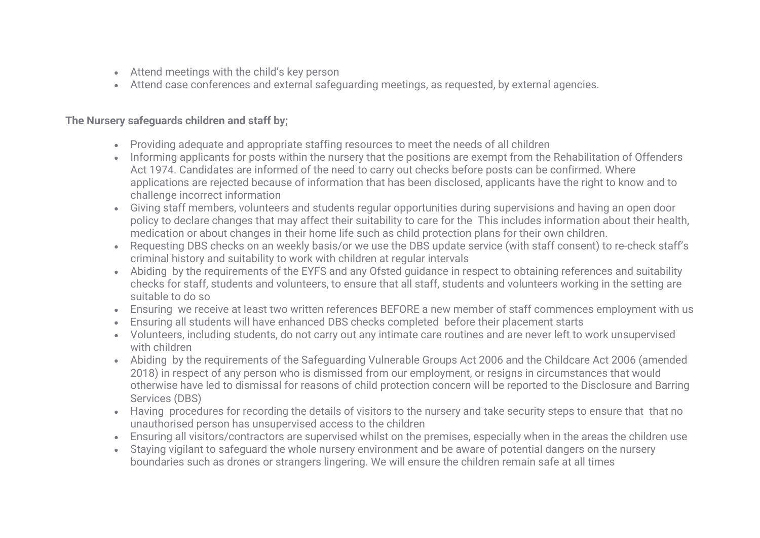- Attend meetings with the child's key person
- Attend case conferences and external safeguarding meetings, as requested, by external agencies.

# **The Nursery safeguards children and staff by;**

- Providing adequate and appropriate staffing resources to meet the needs of all children
- Informing applicants for posts within the nursery that the positions are exempt from the Rehabilitation of Offenders Act 1974. Candidates are informed of the need to carry out checks before posts can be confirmed. Where applications are rejected because of information that has been disclosed, applicants have the right to know and to challenge incorrect information
- Giving staff members, volunteers and students regular opportunities during supervisions and having an open door policy to declare changes that may affect their suitability to care for the This includes information about their health, medication or about changes in their home life such as child protection plans for their own children.
- Requesting DBS checks on an weekly basis/or we use the DBS update service (with staff consent) to re-check staff's criminal history and suitability to work with children at regular intervals
- Abiding by the requirements of the EYFS and any Ofsted guidance in respect to obtaining references and suitability checks for staff, students and volunteers, to ensure that all staff, students and volunteers working in the setting are suitable to do so
- Ensuring we receive at least two written references BEFORE a new member of staff commences employment with us
- Ensuring all students will have enhanced DBS checks completed before their placement starts
- Volunteers, including students, do not carry out any intimate care routines and are never left to work unsupervised with children
- Abiding by the requirements of the Safeguarding Vulnerable Groups Act 2006 and the Childcare Act 2006 (amended 2018) in respect of any person who is dismissed from our employment, or resigns in circumstances that would otherwise have led to dismissal for reasons of child protection concern will be reported to the Disclosure and Barring Services (DBS)
- Having procedures for recording the details of visitors to the nursery and take security steps to ensure that that no unauthorised person has unsupervised access to the children
- Ensuring all visitors/contractors are supervised whilst on the premises, especially when in the areas the children use
- Staying vigilant to safeguard the whole nursery environment and be aware of potential dangers on the nursery boundaries such as drones or strangers lingering. We will ensure the children remain safe at all times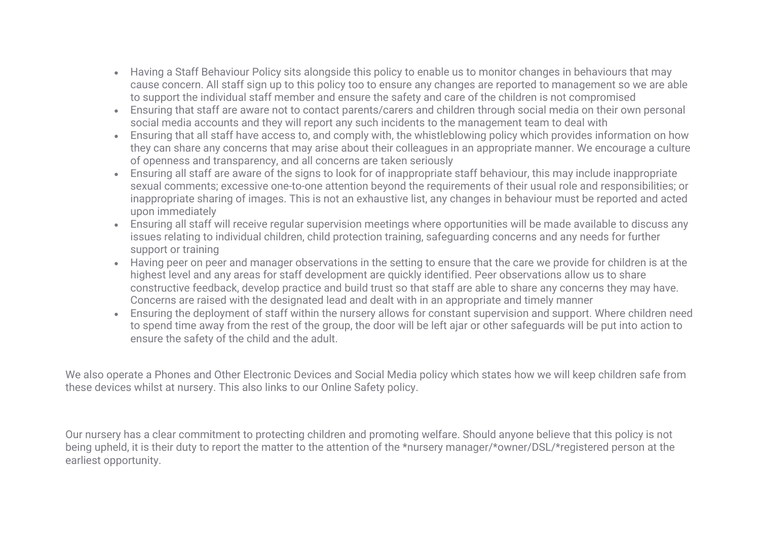- Having a Staff Behaviour Policy sits alongside this policy to enable us to monitor changes in behaviours that may cause concern. All staff sign up to this policy too to ensure any changes are reported to management so we are able to support the individual staff member and ensure the safety and care of the children is not compromised
- Ensuring that staff are aware not to contact parents/carers and children through social media on their own personal social media accounts and they will report any such incidents to the management team to deal with
- Ensuring that all staff have access to, and comply with, the whistleblowing policy which provides information on how they can share any concerns that may arise about their colleagues in an appropriate manner. We encourage a culture of openness and transparency, and all concerns are taken seriously
- Ensuring all staff are aware of the signs to look for of inappropriate staff behaviour, this may include inappropriate sexual comments; excessive one-to-one attention beyond the requirements of their usual role and responsibilities; or inappropriate sharing of images. This is not an exhaustive list, any changes in behaviour must be reported and acted upon immediately
- Ensuring all staff will receive regular supervision meetings where opportunities will be made available to discuss any issues relating to individual children, child protection training, safeguarding concerns and any needs for further support or training
- Having peer on peer and manager observations in the setting to ensure that the care we provide for children is at the highest level and any areas for staff development are quickly identified. Peer observations allow us to share constructive feedback, develop practice and build trust so that staff are able to share any concerns they may have. Concerns are raised with the designated lead and dealt with in an appropriate and timely manner
- Ensuring the deployment of staff within the nursery allows for constant supervision and support. Where children need to spend time away from the rest of the group, the door will be left ajar or other safeguards will be put into action to ensure the safety of the child and the adult.

We also operate a Phones and Other Electronic Devices and Social Media policy which states how we will keep children safe from these devices whilst at nursery. This also links to our Online Safety policy.

Our nursery has a clear commitment to protecting children and promoting welfare. Should anyone believe that this policy is not being upheld, it is their duty to report the matter to the attention of the \*nursery manager/\*owner/DSL/\*registered person at the earliest opportunity.